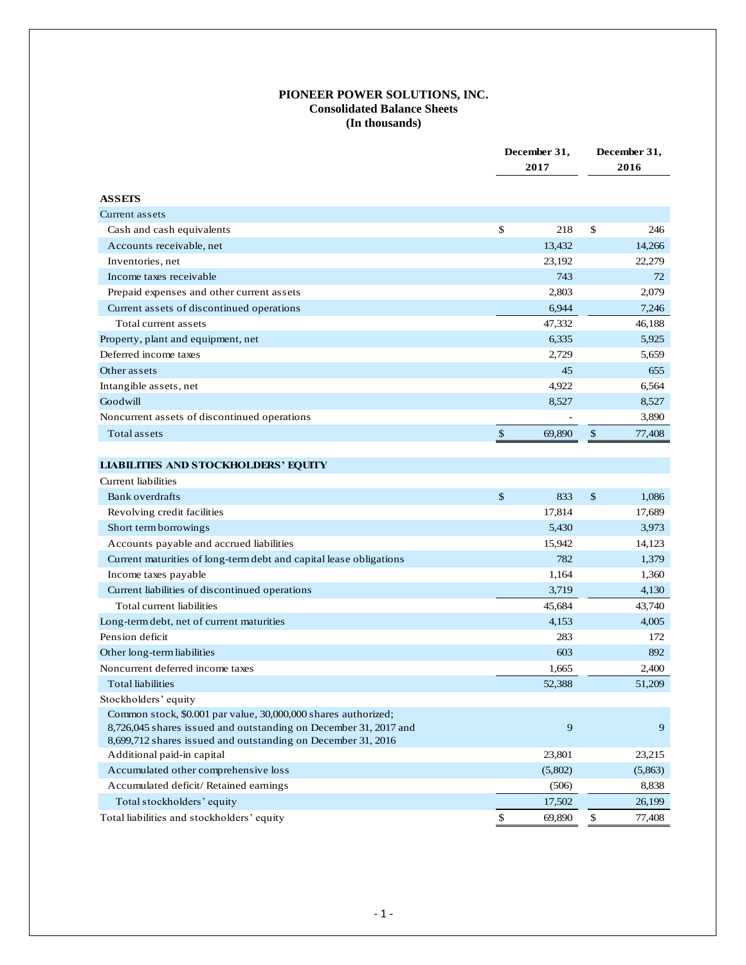# **PIONEER POWER SOLUTIONS, INC. Consolidated Balance Sheets (In thousands)**

|                                                                    |               | December 31,<br>2017 |      | December 31,<br>2016 |  |
|--------------------------------------------------------------------|---------------|----------------------|------|----------------------|--|
| <b>ASSETS</b>                                                      |               |                      |      |                      |  |
| Current assets                                                     |               |                      |      |                      |  |
| Cash and cash equivalents                                          | \$            | 218                  | \$   | 246                  |  |
| Accounts receivable, net                                           |               | 13,432               |      | 14,266               |  |
| Inventories, net                                                   |               | 23,192               |      | 22,279               |  |
| Income taxes receivable                                            |               | 743                  |      | 72                   |  |
| Prepaid expenses and other current assets                          |               | 2,803                |      | 2,079                |  |
| Current assets of discontinued operations                          |               | 6,944                |      | 7,246                |  |
| Total current assets                                               |               | 47,332               |      | 46,188               |  |
| Property, plant and equipment, net                                 |               | 6,335                |      | 5,925                |  |
| Deferred income taxes                                              |               | 2,729                |      | 5,659                |  |
| Other assets                                                       |               | 45                   |      | 655                  |  |
| Intangible assets, net                                             |               | 4,922                |      | 6,564                |  |
| Goodwill                                                           |               | 8,527                |      | 8,527                |  |
| Noncurrent assets of discontinued operations                       |               |                      |      | 3,890                |  |
| Total assets                                                       | \$            | 69,890               | $\$$ | 77,408               |  |
| <b>LIABILITIES AND STOCKHOLDERS' EQUITY</b>                        |               |                      |      |                      |  |
| Current liabilities                                                |               |                      |      |                      |  |
| Bank overdrafts                                                    | $\mathcal{S}$ | 833                  | \$   | 1,086                |  |
| Revolving credit facilities                                        |               | 17,814               |      | 17,689               |  |
| Short term borrowings                                              |               | 5,430                |      | 3,973                |  |
| Accounts payable and accrued liabilities                           |               | 15,942               |      | 14,123               |  |
| Current maturities of long-term debt and capital lease obligations |               | 782                  |      | 1,379                |  |
| Income taxes payable                                               |               | 1,164                |      | 1,360                |  |
| Current liabilities of discontinued operations                     |               | 3,719                |      | 4,130                |  |
| Total current liabilities                                          |               | 45,684               |      | 43,740               |  |
| Long-term debt, net of current maturities                          |               | 4,153                |      | 4,005                |  |
| Pension deficit                                                    |               | 283                  |      | 172                  |  |
| Other long-term liabilities                                        |               | 603                  |      | 892                  |  |
| Noncurrent deferred income taxes                                   |               | 1,665                |      | 2,400                |  |

| Stockholders' equity                                             |         |         |
|------------------------------------------------------------------|---------|---------|
| Common stock, \$0.001 par value, 30,000,000 shares authorized;   |         |         |
| 8,726,045 shares issued and outstanding on December 31, 2017 and | Q       | Q       |
| 8,699,712 shares issued and outstanding on December 31, 2016     |         |         |
| Additional paid-in capital                                       | 23,801  | 23,215  |
| Accumulated other comprehensive loss                             | (5,802) | (5,863) |
| Accumulated deficit/Retained earnings                            | (506)   | 8,838   |
| Total stockholders' equity                                       | 17,502  | 26,199  |
| Total liabilities and stockholders' equity                       | 69,890  | 77,408  |

Total liabilities 52,388 51,209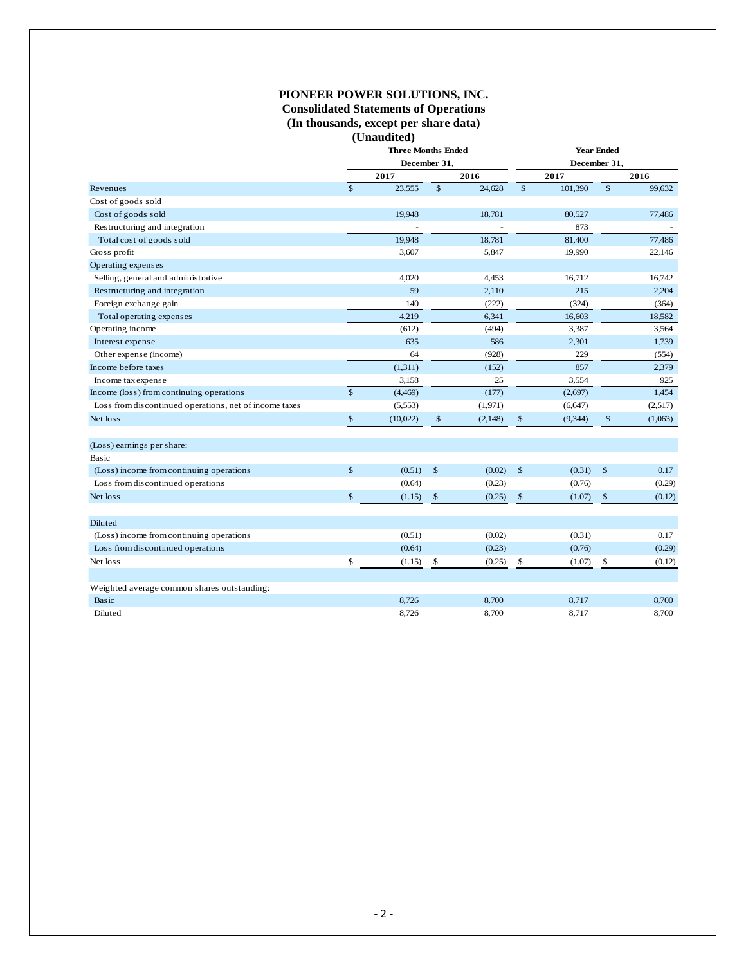## **PIONEER POWER SOLUTIONS, INC. Consolidated Statements of Operations (In thousands, except per share data) (Unaudited)**

|                                                        | <b>Three Months Ended</b><br>December 31, |          |              | <b>Year Ended</b><br>December 31, |                |          |                |         |
|--------------------------------------------------------|-------------------------------------------|----------|--------------|-----------------------------------|----------------|----------|----------------|---------|
|                                                        |                                           |          |              |                                   |                |          |                |         |
|                                                        |                                           | 2017     |              | 2016                              |                | 2017     |                | 2016    |
| Revenues                                               | $\mathbf{s}$                              | 23,555   | $\mathbb{S}$ | 24,628                            | \$             | 101,390  | $\mathbb{S}$   | 99,632  |
| Cost of goods sold                                     |                                           |          |              |                                   |                |          |                |         |
| Cost of goods sold                                     |                                           | 19,948   |              | 18,781                            |                | 80,527   |                | 77,486  |
| Restructuring and integration                          |                                           |          |              |                                   |                | 873      |                |         |
| Total cost of goods sold                               |                                           | 19,948   |              | 18,781                            |                | 81,400   |                | 77,486  |
| Gross profit                                           |                                           | 3,607    |              | 5,847                             |                | 19,990   |                | 22,146  |
| Operating expenses                                     |                                           |          |              |                                   |                |          |                |         |
| Selling, general and administrative                    |                                           | 4,020    |              | 4,453                             |                | 16,712   |                | 16,742  |
| Restructuring and integration                          |                                           | 59       |              | 2,110                             |                | 215      |                | 2,204   |
| Foreign exchange gain                                  |                                           | 140      |              | (222)                             |                | (324)    |                | (364)   |
| Total operating expenses                               |                                           | 4,219    |              | 6,341                             |                | 16,603   |                | 18,582  |
| Operating income                                       |                                           | (612)    |              | (494)                             |                | 3,387    |                | 3,564   |
| Interest expense                                       |                                           | 635      |              | 586                               |                | 2,301    |                | 1,739   |
| Other expense (income)                                 |                                           | 64       |              | (928)                             |                | 229      |                | (554)   |
| Income before taxes                                    |                                           | (1,311)  |              | (152)                             |                | 857      |                | 2,379   |
| Income tax expense                                     |                                           | 3,158    |              | 25                                |                | 3,554    |                | 925     |
| Income (loss) from continuing operations               | $\mathbb{S}$                              | (4, 469) |              | (177)                             |                | (2,697)  |                | 1,454   |
| Loss from discontinued operations, net of income taxes |                                           | (5,553)  |              | (1,971)                           |                | (6, 647) |                | (2,517) |
| Net loss                                               | $\mathbb{S}$                              | (10,022) | $\$$         | (2, 148)                          | $\mathfrak{S}$ | (9, 344) | $\mathbb{S}$   | (1,063) |
| (Loss) earnings per share:                             |                                           |          |              |                                   |                |          |                |         |
| Basic                                                  |                                           |          |              |                                   |                |          |                |         |
| (Loss) income from continuing operations               | $\mathbb{S}$                              | (0.51)   | \$           | (0.02)                            | $\mathbb{S}$   | (0.31)   | $\mathfrak{S}$ | 0.17    |
| Loss from discontinued operations                      |                                           | (0.64)   |              | (0.23)                            |                | (0.76)   |                | (0.29)  |
| Net loss                                               | $\mathbb{S}$                              | (1.15)   | $\mathbb{S}$ | (0.25)                            | $\mathbb{S}$   | (1.07)   | $\$$           | (0.12)  |
| Diluted                                                |                                           |          |              |                                   |                |          |                |         |
| (Loss) income from continuing operations               |                                           | (0.51)   |              | (0.02)                            |                | (0.31)   |                | 0.17    |
| Loss from discontinued operations                      |                                           | (0.64)   |              | (0.23)                            |                | (0.76)   |                | (0.29)  |
| Net loss                                               | \$                                        | (1.15)   | \$           | (0.25)                            | $\mathbf S$    | (1.07)   | \$             | (0.12)  |
|                                                        |                                           |          |              |                                   |                |          |                |         |
| Weighted average common shares outstanding:            |                                           |          |              |                                   |                |          |                |         |
| Basic                                                  |                                           | 8,726    |              | 8,700                             |                | 8,717    |                | 8,700   |
| Diluted                                                |                                           | 8,726    |              | 8,700                             |                | 8,717    |                | 8,700   |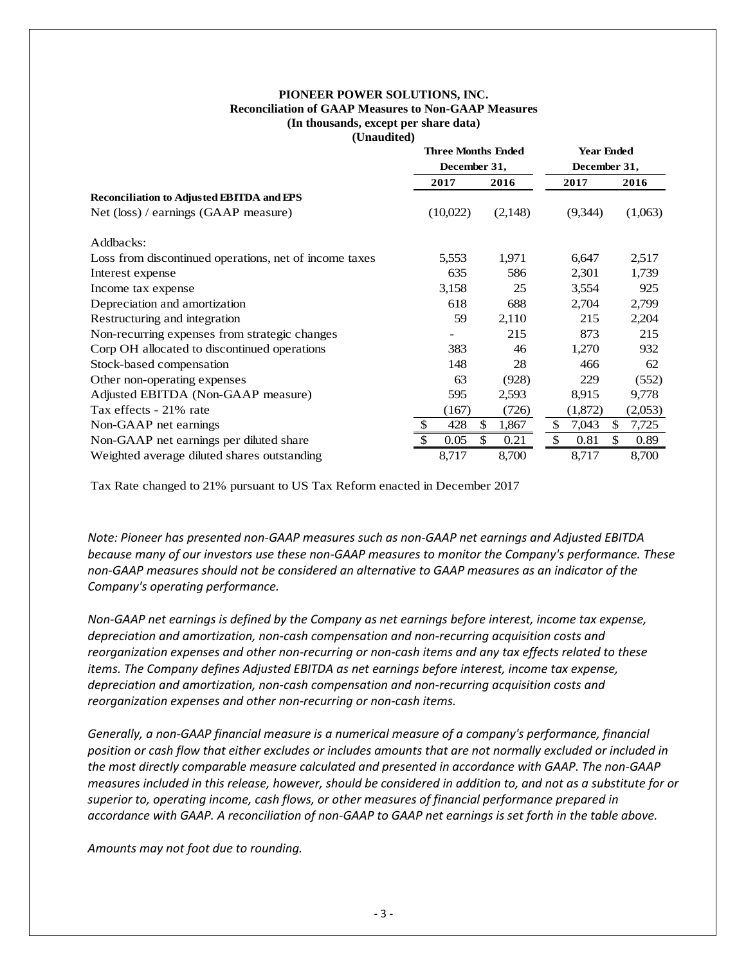#### **PIONEER POWER SOLUTIONS, INC. Reconciliation of GAAP Measures to Non-GAAP Measures (In thousands, except per share data) (Unaudited)**

|                                                        | <b>Three Months Ended</b><br>December 31, |             | <b>Year Ended</b><br>December 31, |             |  |
|--------------------------------------------------------|-------------------------------------------|-------------|-----------------------------------|-------------|--|
|                                                        | 2017                                      | 2016        | 2017                              | 2016        |  |
| Reconciliation to Adjusted EBITDA and EPS              |                                           |             |                                   |             |  |
| Net (loss) / earnings (GAAP measure)                   | (10,022)                                  | (2,148)     | (9,344)                           | (1,063)     |  |
| Addbacks:                                              |                                           |             |                                   |             |  |
| Loss from discontinued operations, net of income taxes | 5,553                                     | 1,971       | 6,647                             | 2,517       |  |
| Interest expense                                       | 635                                       | 586         | 2,301                             | 1,739       |  |
| Income tax expense                                     | 3,158                                     | 25          | 3,554                             | 925         |  |
| Depreciation and amortization                          | 618                                       | 688         | 2,704                             | 2,799       |  |
| Restructuring and integration                          | 59                                        | 2,110       | 215                               | 2,204       |  |
| Non-recurring expenses from strategic changes          |                                           | 215         | 873                               | 215         |  |
| Corp OH allocated to discontinued operations           | 383                                       | 46          | 1,270                             | 932         |  |
| Stock-based compensation                               | 148                                       | 28          | 466                               | 62          |  |
| Other non-operating expenses                           | 63                                        | (928)       | 229                               | (552)       |  |
| Adjusted EBITDA (Non-GAAP measure)                     | 595                                       | 2,593       | 8,915                             | 9,778       |  |
| Tax effects - 21% rate                                 | (167)                                     | (726)       | (1,872)                           | (2,053)     |  |
| Non-GAAP net earnings                                  | 428                                       | \$<br>1,867 | \$<br>7,043                       | \$<br>7,725 |  |
| Non-GAAP net earnings per diluted share                | 0.05                                      | \$<br>0.21  | \$<br>0.81                        | \$<br>0.89  |  |
| Weighted average diluted shares outstanding            | 8,717                                     | 8,700       | 8,717                             | 8,700       |  |

Tax Rate changed to 21% pursuant to US Tax Reform enacted in December 2017

*Note: Pioneer has presented non-GAAP measures such as non-GAAP net earnings and Adjusted EBITDA because many of our investors use these non-GAAP measures to monitor the Company's performance. These non-GAAP measures should not be considered an alternative to GAAP measures as an indicator of the Company's operating performance.* 

*Non-GAAP net earnings is defined by the Company as net earnings before interest, income tax expense, depreciation and amortization, non-cash compensation and non-recurring acquisition costs and reorganization expenses and other non-recurring or non-cash items and any tax effects related to these items. The Company defines Adjusted EBITDA as net earnings before interest, income tax expense, depreciation and amortization, non-cash compensation and non-recurring acquisition costs and reorganization expenses and other non-recurring or non-cash items.* 

*Generally, a non-GAAP financial measure is a numerical measure of a company's performance, financial position or cash flow that either excludes or includes amounts that are not normally excluded or included in the most directly comparable measure calculated and presented in accordance with GAAP. The non-GAAP measures included in this release, however, should be considered in addition to, and not as a substitute for or superior to, operating income, cash flows, or other measures of financial performance prepared in accordance with GAAP. A reconciliation of non-GAAP to GAAP net earnings is set forth in the table above.* 

*Amounts may not foot due to rounding.*